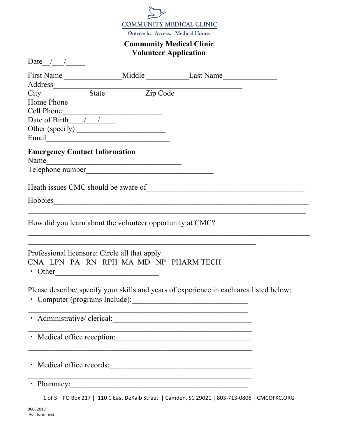

Outreach. Access. Medical Home.

## **Community Medical Clinic Volunteer Application**

Date  $\frac{1}{\sqrt{2\pi}}$ 

|                                                    |                                                                                                                                                                                                                                              | First Name __________________Middle ________________Last Name __________________                                        |
|----------------------------------------------------|----------------------------------------------------------------------------------------------------------------------------------------------------------------------------------------------------------------------------------------------|-------------------------------------------------------------------------------------------------------------------------|
| Home Phone<br>Date of Birth $\sqrt{1-\frac{1}{2}}$ | Cell Phone<br>Email Communication of the communication of the communication of the communication of the communication of the communication of the communication of the communication of the communication of the communication of the commun |                                                                                                                         |
| <b>Emergency Contact Information</b><br>Name       |                                                                                                                                                                                                                                              |                                                                                                                         |
|                                                    |                                                                                                                                                                                                                                              |                                                                                                                         |
|                                                    | How did you learn about the volunteer opportunity at CMC?                                                                                                                                                                                    |                                                                                                                         |
|                                                    | Professional licensure: Circle all that apply<br>CNA LPN PA RN RPH MA MD NP PHARM TECH<br>$\cdot$ Other                                                                                                                                      |                                                                                                                         |
|                                                    |                                                                                                                                                                                                                                              | Please describe/ specify your skills and years of experience in each area listed below:<br>Computer (programs Include): |
| Administrative/ clerical:                          |                                                                                                                                                                                                                                              | <u> 1989 - Johann John Stein, mars eta berriaren 1980</u>                                                               |
|                                                    |                                                                                                                                                                                                                                              | · Medical office reception:                                                                                             |
|                                                    |                                                                                                                                                                                                                                              | • Medical office records:                                                                                               |
|                                                    |                                                                                                                                                                                                                                              |                                                                                                                         |
|                                                    |                                                                                                                                                                                                                                              | 1 of 3 PO Box 217   110 C East DeKalb Street   Camden, SC 29021   803-713-0806   CMCOFKC.ORG                            |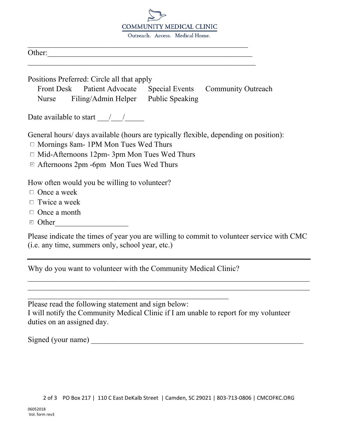

Outreach, Access, Medical Home.

| $\bigcap_{\mathbf{t}}$<br>Other: |
|----------------------------------|
|----------------------------------|

Positions Preferred: Circle all that apply

Front Desk Patient Advocate Special Events Community Outreach Nurse Filing/Admin Helper Public Speaking

 $\mathcal{L}_\text{max}$  , and the contract of the contract of the contract of the contract of the contract of the contract of the contract of the contract of the contract of the contract of the contract of the contract of the contr

 $\overline{\phantom{a}}$ 

Date available to start  $\frac{1}{2}$  /

General hours/ days available (hours are typically flexible, depending on position):

- □ Mornings 8am- 1PM Mon Tues Wed Thurs
- $\Box$  Mid-Afternoons 12pm- 3pm Mon Tues Wed Thurs
- ࣭ Afternoons 2pm -6pm Mon Tues Wed Thurs ✔

How often would you be willing to volunteer?

- $\Box$  Once a week
- $\Box$  Twice a week
- $\Box$  Once a month
- \_\_\_\_\_\_\_\_\_\_\_\_\_\_\_\_\_\_\_Other ࣭ ✔

Please indicate the times of year you are willing to commit to volunteer service with CMC (i.e. any time, summers only, school year, etc.)

 $\mathcal{L}_\text{max}$  , and the contribution of the contribution of the contribution of the contribution of the contribution of the contribution of the contribution of the contribution of the contribution of the contribution of t  $\mathcal{L}_\text{max}$  , and the contribution of the contribution of the contribution of the contribution of the contribution of the contribution of the contribution of the contribution of the contribution of the contribution of t

Why do you want to volunteer with the Community Medical Clinic?

\_\_\_\_\_\_\_\_\_\_\_\_\_\_\_\_\_\_\_\_\_\_\_\_\_\_\_\_\_\_\_\_\_\_\_\_\_\_\_\_\_\_\_\_\_\_\_\_\_\_\_\_ Please read the following statement and sign below: I will notify the Community Medical Clinic if I am unable to report for my volunteer duties on an assigned day.

Signed (your name)